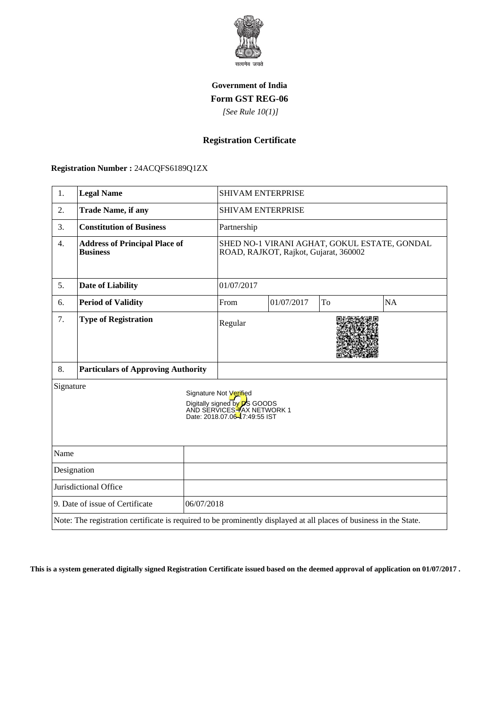

## **Government of India Form GST REG-06**

 *[See Rule 10(1)]*

## **Registration Certificate**

 **Registration Number :** 24ACQFS6189Q1ZX

| 1.                                            | <b>Legal Name</b>                                                                                                  |                                                                                                                      | <b>SHIVAM ENTERPRISE</b>                                                              |            |    |           |  |
|-----------------------------------------------|--------------------------------------------------------------------------------------------------------------------|----------------------------------------------------------------------------------------------------------------------|---------------------------------------------------------------------------------------|------------|----|-----------|--|
| 2.                                            | <b>Trade Name, if any</b>                                                                                          |                                                                                                                      | <b>SHIVAM ENTERPRISE</b>                                                              |            |    |           |  |
| 3.                                            | <b>Constitution of Business</b>                                                                                    |                                                                                                                      | Partnership                                                                           |            |    |           |  |
| 4.                                            | <b>Address of Principal Place of</b><br><b>Business</b>                                                            |                                                                                                                      | SHED NO-1 VIRANI AGHAT, GOKUL ESTATE, GONDAL<br>ROAD, RAJKOT, Rajkot, Gujarat, 360002 |            |    |           |  |
| 5.                                            | <b>Date of Liability</b>                                                                                           |                                                                                                                      | 01/07/2017                                                                            |            |    |           |  |
| 6.                                            | <b>Period of Validity</b>                                                                                          |                                                                                                                      | From                                                                                  | 01/07/2017 | To | <b>NA</b> |  |
| 7.                                            | <b>Type of Registration</b>                                                                                        |                                                                                                                      | Regular                                                                               |            |    |           |  |
| 8.                                            | <b>Particulars of Approving Authority</b>                                                                          |                                                                                                                      |                                                                                       |            |    |           |  |
| Signature                                     |                                                                                                                    | Signature Not Verified<br>Digitally signed by DS GOODS<br>AND SERVICES TAX NETWORK 1<br>Date: 2018.07.06-7:49:55 IST |                                                                                       |            |    |           |  |
| Name                                          |                                                                                                                    |                                                                                                                      |                                                                                       |            |    |           |  |
| Designation                                   |                                                                                                                    |                                                                                                                      |                                                                                       |            |    |           |  |
| Jurisdictional Office                         |                                                                                                                    |                                                                                                                      |                                                                                       |            |    |           |  |
| 9. Date of issue of Certificate<br>06/07/2018 |                                                                                                                    |                                                                                                                      |                                                                                       |            |    |           |  |
|                                               | Note: The registration certificate is required to be prominently displayed at all places of business in the State. |                                                                                                                      |                                                                                       |            |    |           |  |

**This is a system generated digitally signed Registration Certificate issued based on the deemed approval of application on 01/07/2017 .**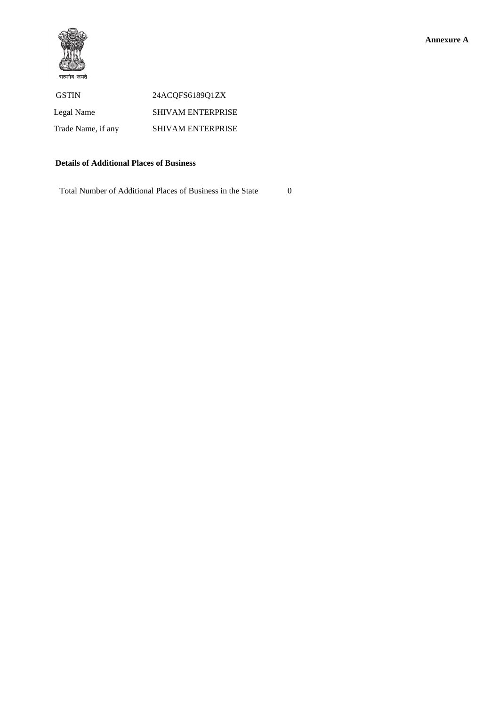

## **Details of Additional Places of Business**

Total Number of Additional Places of Business in the State 0